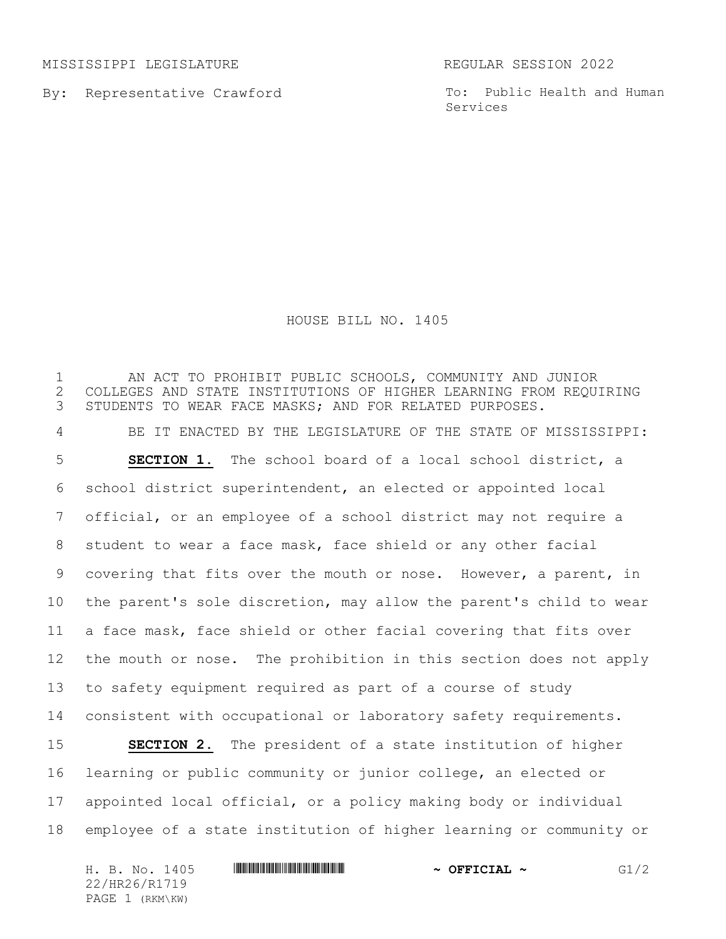MISSISSIPPI LEGISLATURE REGULAR SESSION 2022

By: Representative Crawford

To: Public Health and Human Services

## HOUSE BILL NO. 1405

 AN ACT TO PROHIBIT PUBLIC SCHOOLS, COMMUNITY AND JUNIOR 2 COLLEGES AND STATE INSTITUTIONS OF HIGHER LEARNING FROM REQUIRING<br>3 STUDENTS TO WEAR FACE MASKS; AND FOR RELATED PURPOSES. STUDENTS TO WEAR FACE MASKS; AND FOR RELATED PURPOSES. BE IT ENACTED BY THE LEGISLATURE OF THE STATE OF MISSISSIPPI: **SECTION 1.** The school board of a local school district, a school district superintendent, an elected or appointed local official, or an employee of a school district may not require a student to wear a face mask, face shield or any other facial covering that fits over the mouth or nose. However, a parent, in the parent's sole discretion, may allow the parent's child to wear a face mask, face shield or other facial covering that fits over the mouth or nose. The prohibition in this section does not apply to safety equipment required as part of a course of study consistent with occupational or laboratory safety requirements. **SECTION 2.** The president of a state institution of higher learning or public community or junior college, an elected or appointed local official, or a policy making body or individual employee of a state institution of higher learning or community or

H. B. No. 1405 \*HR26/R1719\* **~ OFFICIAL ~** G1/2 22/HR26/R1719 PAGE 1 (RKM\KW)